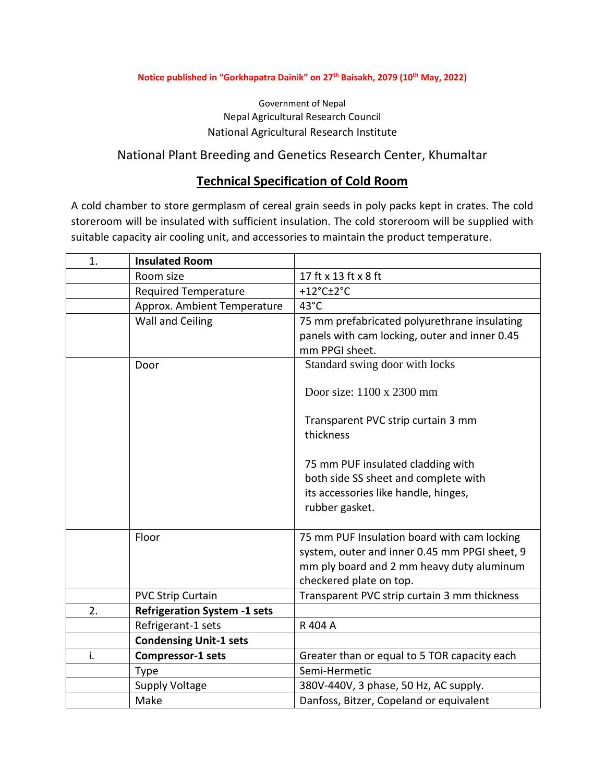#### **Notice published in "Gorkhapatra Dainik" on 27th Baisakh, 2079 (10th May, 2022)**

#### Government of Nepal Nepal Agricultural Research Council National Agricultural Research Institute

## National Plant Breeding and Genetics Research Center, Khumaltar

## **Technical Specification of Cold Room**

A cold chamber to store germplasm of cereal grain seeds in poly packs kept in crates. The cold storeroom will be insulated with sufficient insulation. The cold storeroom will be supplied with suitable capacity air cooling unit, and accessories to maintain the product temperature.

| 1. | <b>Insulated Room</b>               |                                                                                                                                           |
|----|-------------------------------------|-------------------------------------------------------------------------------------------------------------------------------------------|
|    | Room size                           | 17 ft x 13 ft x 8 ft                                                                                                                      |
|    | <b>Required Temperature</b>         | +12 $^{\circ}$ C $\pm$ 2 $^{\circ}$ C                                                                                                     |
|    | Approx. Ambient Temperature         | 43°C                                                                                                                                      |
|    | Wall and Ceiling                    | 75 mm prefabricated polyurethrane insulating                                                                                              |
|    |                                     | panels with cam locking, outer and inner 0.45                                                                                             |
|    |                                     | mm PPGI sheet.                                                                                                                            |
|    | Door                                | Standard swing door with locks                                                                                                            |
|    |                                     | Door size: 1100 x 2300 mm<br>Transparent PVC strip curtain 3 mm                                                                           |
|    |                                     | thickness                                                                                                                                 |
|    |                                     | 75 mm PUF insulated cladding with<br>both side SS sheet and complete with                                                                 |
|    |                                     | its accessories like handle, hinges,<br>rubber gasket.                                                                                    |
|    | Floor                               | 75 mm PUF Insulation board with cam locking<br>system, outer and inner 0.45 mm PPGI sheet, 9<br>mm ply board and 2 mm heavy duty aluminum |
|    |                                     | checkered plate on top.                                                                                                                   |
|    | <b>PVC Strip Curtain</b>            | Transparent PVC strip curtain 3 mm thickness                                                                                              |
| 2. | <b>Refrigeration System -1 sets</b> |                                                                                                                                           |
|    | Refrigerant-1 sets                  | R 404 A                                                                                                                                   |
|    | <b>Condensing Unit-1 sets</b>       |                                                                                                                                           |
| i. | <b>Compressor-1 sets</b>            | Greater than or equal to 5 TOR capacity each                                                                                              |
|    | <b>Type</b>                         | Semi-Hermetic                                                                                                                             |
|    | <b>Supply Voltage</b>               | 380V-440V, 3 phase, 50 Hz, AC supply.                                                                                                     |
|    | Make                                | Danfoss, Bitzer, Copeland or equivalent                                                                                                   |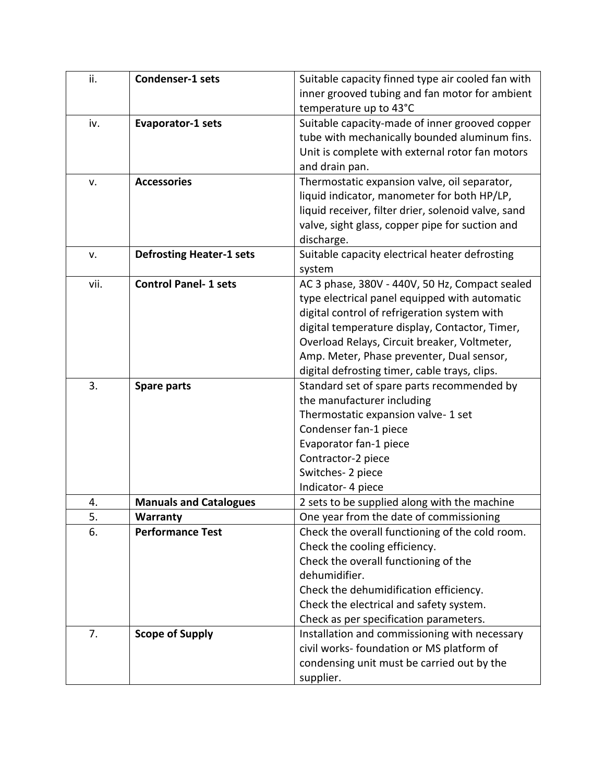| ii.  | <b>Condenser-1 sets</b>         | Suitable capacity finned type air cooled fan with   |
|------|---------------------------------|-----------------------------------------------------|
|      |                                 | inner grooved tubing and fan motor for ambient      |
|      |                                 | temperature up to 43°C                              |
| iv.  | <b>Evaporator-1 sets</b>        | Suitable capacity-made of inner grooved copper      |
|      |                                 | tube with mechanically bounded aluminum fins.       |
|      |                                 | Unit is complete with external rotor fan motors     |
|      |                                 | and drain pan.                                      |
| v.   | <b>Accessories</b>              | Thermostatic expansion valve, oil separator,        |
|      |                                 | liquid indicator, manometer for both HP/LP,         |
|      |                                 | liquid receiver, filter drier, solenoid valve, sand |
|      |                                 | valve, sight glass, copper pipe for suction and     |
|      |                                 | discharge.                                          |
| v.   | <b>Defrosting Heater-1 sets</b> | Suitable capacity electrical heater defrosting      |
|      |                                 | system                                              |
| vii. | <b>Control Panel-1 sets</b>     | AC 3 phase, 380V - 440V, 50 Hz, Compact sealed      |
|      |                                 | type electrical panel equipped with automatic       |
|      |                                 | digital control of refrigeration system with        |
|      |                                 | digital temperature display, Contactor, Timer,      |
|      |                                 | Overload Relays, Circuit breaker, Voltmeter,        |
|      |                                 | Amp. Meter, Phase preventer, Dual sensor,           |
|      |                                 | digital defrosting timer, cable trays, clips.       |
| 3.   | <b>Spare parts</b>              | Standard set of spare parts recommended by          |
|      |                                 | the manufacturer including                          |
|      |                                 | Thermostatic expansion valve- 1 set                 |
|      |                                 | Condenser fan-1 piece                               |
|      |                                 | Evaporator fan-1 piece                              |
|      |                                 | Contractor-2 piece                                  |
|      |                                 | Switches-2 piece                                    |
|      |                                 | Indicator- 4 piece                                  |
| 4.   | <b>Manuals and Catalogues</b>   | 2 sets to be supplied along with the machine        |
| 5.   | Warranty                        | One year from the date of commissioning             |
| 6.   | <b>Performance Test</b>         | Check the overall functioning of the cold room.     |
|      |                                 | Check the cooling efficiency.                       |
|      |                                 | Check the overall functioning of the                |
|      |                                 | dehumidifier.                                       |
|      |                                 | Check the dehumidification efficiency.              |
|      |                                 | Check the electrical and safety system.             |
|      |                                 | Check as per specification parameters.              |
| 7.   | <b>Scope of Supply</b>          | Installation and commissioning with necessary       |
|      |                                 | civil works- foundation or MS platform of           |
|      |                                 | condensing unit must be carried out by the          |
|      |                                 | supplier.                                           |